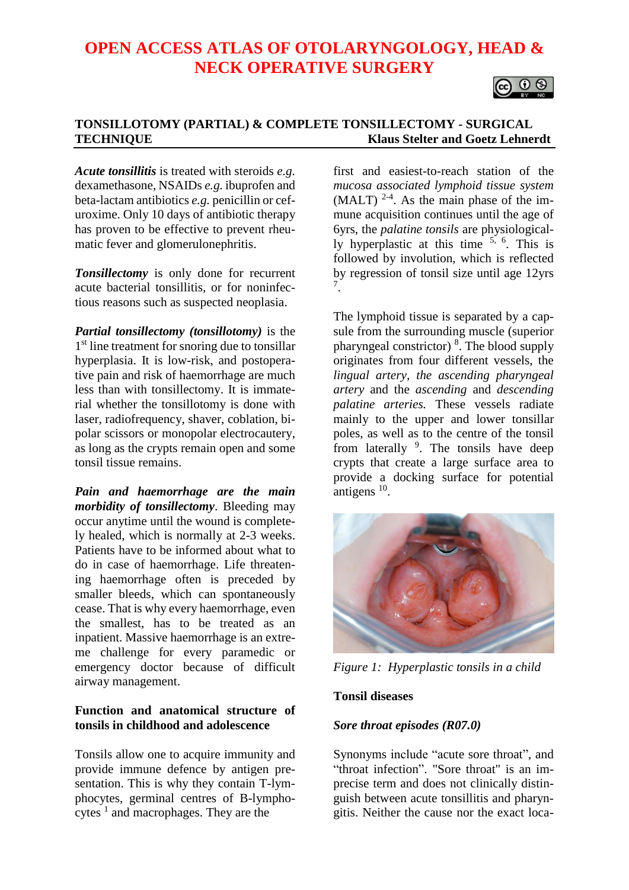# **OPEN ACCESS ATLAS OF OTOLARYNGOLOGY, HEAD & NECK OPERATIVE SURGERY**



## **TONSILLOTOMY (PARTIAL) & COMPLETE TONSILLECTOMY - SURGICAL TECHNIQUE Klaus Stelter and Goetz Lehnerdt**

*Acute tonsillitis* is treated with steroids *e.g.* dexamethasone, NSAIDs *e.g.* ibuprofen and beta-lactam antibiotics *e.g.* penicillin or cefuroxime. Only 10 days of antibiotic therapy has proven to be effective to prevent rheumatic fever and glomerulonephritis.

*Tonsillectomy* is only done for recurrent acute bacterial tonsillitis, or for noninfectious reasons such as suspected neoplasia.

*Partial tonsillectomy (tonsillotomy)* is the 1<sup>st</sup> line treatment for snoring due to tonsillar hyperplasia. It is low-risk, and postoperative pain and risk of haemorrhage are much less than with tonsillectomy. It is immaterial whether the tonsillotomy is done with laser, radiofrequency, shaver, coblation, bipolar scissors or monopolar electrocautery, as long as the crypts remain open and some tonsil tissue remains.

*Pain and haemorrhage are the main morbidity of tonsillectomy*. Bleeding may occur anytime until the wound is completely healed, which is normally at 2-3 weeks. Patients have to be informed about what to do in case of haemorrhage. Life threatening haemorrhage often is preceded by smaller bleeds, which can spontaneously cease. That is why every haemorrhage, even the smallest, has to be treated as an inpatient. Massive haemorrhage is an extreme challenge for every paramedic or emergency doctor because of difficult airway management.

## **Function and anatomical structure of tonsils in childhood and adolescence**

Tonsils allow one to acquire immunity and provide immune defence by antigen presentation. This is why they contain T-lymphocytes, germinal centres of B-lymphocytes  $<sup>1</sup>$  and macrophages. They are the</sup>

first and easiest-to-reach station of the *mucosa associated lymphoid tissue system*  $(MALT)$ <sup>2-4</sup>. As the main phase of the immune acquisition continues until the age of 6yrs, the *palatine tonsils* are physiologically hyperplastic at this time 5, 6. This is followed by involution, which is reflected by regression of tonsil size until age 12yrs 7 .

The lymphoid tissue is separated by a capsule from the surrounding muscle (superior pharyngeal constrictor)<sup>8</sup>. The blood supply originates from four different vessels, the *lingual artery, the ascending pharyngeal artery* and the *ascending* and *descending palatine arteries.* These vessels radiate mainly to the upper and lower tonsillar poles, as well as to the centre of the tonsil from laterally <sup>9</sup>. The tonsils have deep crypts that create a large surface area to provide a docking surface for potential antigens<sup>10</sup>.



*Figure 1: Hyperplastic tonsils in a child*

## **Tonsil diseases**

#### *Sore throat episodes (R07.0)*

Synonyms include "acute sore throat", and "throat infection". "Sore throat" is an imprecise term and does not clinically distinguish between acute tonsillitis and pharyngitis. Neither the cause nor the exact loca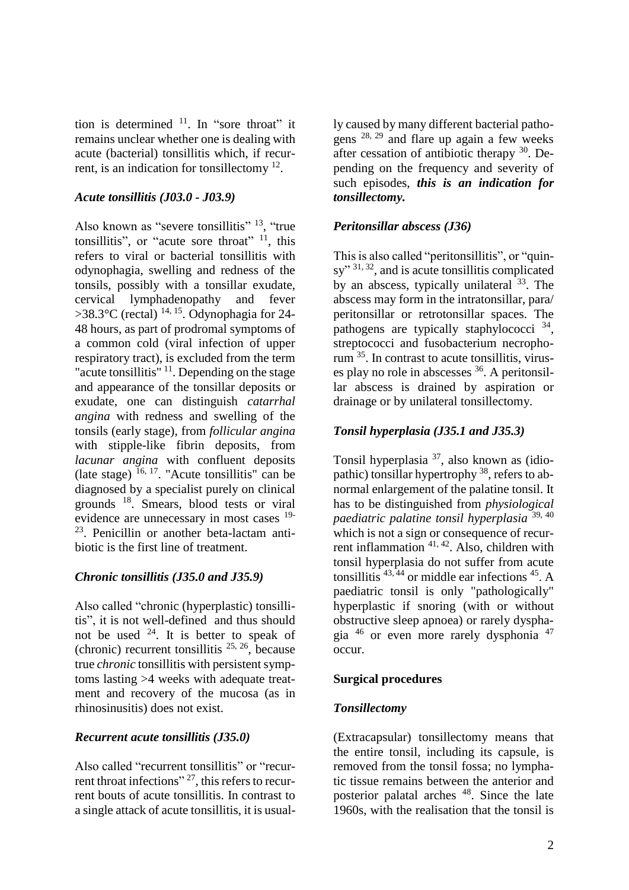tion is determined  $11$ . In "sore throat" it remains unclear whether one is dealing with acute (bacterial) tonsillitis which, if recurrent, is an indication for tonsillectomy <sup>12</sup>.

#### *Acute tonsillitis (J03.0 - J03.9)*

Also known as "severe tonsillitis" <sup>13</sup>, "true tonsillitis", or "acute sore throat" <sup>11</sup>, this refers to viral or bacterial tonsillitis with odynophagia, swelling and redness of the tonsils, possibly with a tonsillar exudate, cervical lymphadenopathy and fever >38.3 $\rm{°C}$  (rectal)  $\rm{^{14, 15}}$ . Odynophagia for 24-48 hours, as part of prodromal symptoms of a common cold (viral infection of upper respiratory tract), is excluded from the term "acute tonsillitis" <sup>11</sup>. Depending on the stage and appearance of the tonsillar deposits or exudate, one can distinguish *catarrhal angina* with redness and swelling of the tonsils (early stage), from *follicular angina* with stipple-like fibrin deposits, from *lacunar angina* with confluent deposits (late stage)  $16, 17$ . "Acute tonsillitis" can be diagnosed by a specialist purely on clinical grounds <sup>18</sup>. Smears, blood tests or viral evidence are unnecessary in most cases 19- <sup>23</sup>. Penicillin or another beta-lactam antibiotic is the first line of treatment.

## *Chronic tonsillitis (J35.0 and J35.9)*

Also called "chronic (hyperplastic) tonsillitis", it is not well-defined and thus should not be used  $24$ . It is better to speak of (chronic) recurrent tonsillitis  $25, 26$ , because true *chronic* tonsillitis with persistent symptoms lasting >4 weeks with adequate treatment and recovery of the mucosa (as in rhinosinusitis) does not exist.

## *Recurrent acute tonsillitis (J35.0)*

Also called "recurrent tonsillitis" or "recurrent throat infections"<sup>27</sup>, this refers to recurrent bouts of acute tonsillitis. In contrast to a single attack of acute tonsillitis, it is usually caused by many different bacterial pathogens 28, 29 and flare up again a few weeks after cessation of antibiotic therapy  $30$ . Depending on the frequency and severity of such episodes, *this is an indication for tonsillectomy.*

#### *Peritonsillar abscess (J36)*

This is also called "peritonsillitis", or "quinsy"<sup>31, 32</sup>, and is acute tonsillitis complicated by an abscess, typically unilateral  $33$ . The abscess may form in the intratonsillar, para/ peritonsillar or retrotonsillar spaces. The pathogens are typically staphylococci<sup>34</sup>, streptococci and fusobacterium necrophorum <sup>35</sup>. In contrast to acute tonsillitis, viruses play no role in abscesses  $36$ . A peritonsillar abscess is drained by aspiration or drainage or by unilateral tonsillectomy.

#### *Tonsil hyperplasia (J35.1 and J35.3)*

Tonsil hyperplasia <sup>37</sup>, also known as (idiopathic) tonsillar hypertrophy <sup>38</sup>, refers to abnormal enlargement of the palatine tonsil. It has to be distinguished from *physiological paediatric palatine tonsil hyperplasia* 39, 40 which is not a sign or consequence of recurrent inflammation 41, 42. Also, children with tonsil hyperplasia do not suffer from acute tonsillitis  $43, 44$  or middle ear infections  $45$ . A paediatric tonsil is only "pathologically" hyperplastic if snoring (with or without obstructive sleep apnoea) or rarely dysphagia <sup>46</sup> or even more rarely dysphonia <sup>47</sup> occur.

#### **Surgical procedures**

#### *Tonsillectomy*

(Extracapsular) tonsillectomy means that the entire tonsil, including its capsule, is removed from the tonsil fossa; no lymphatic tissue remains between the anterior and posterior palatal arches <sup>48</sup>. Since the late 1960s, with the realisation that the tonsil is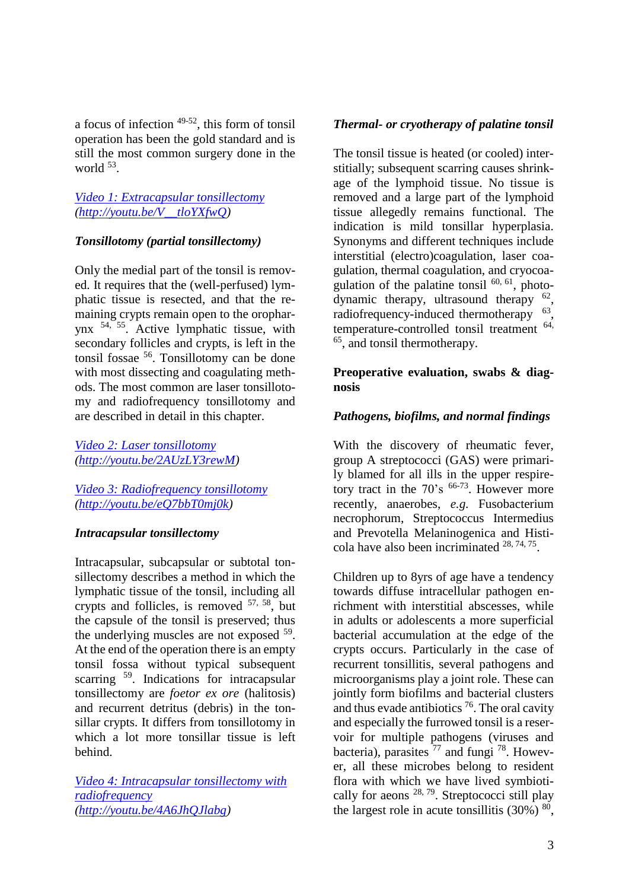a focus of infection  $49-52$ , this form of tonsil operation has been the gold standard and is still the most common surgery done in the world  $53$ .

#### *[Video 1: Extracapsular tonsillectomy](http://youtu.be/V__tloYXfwQ) [\(http://youtu.be/V\\_\\_tloYXfwQ\)](http://youtu.be/V__tloYXfwQ)*

## *Tonsillotomy (partial tonsillectomy)*

Only the medial part of the tonsil is removed. It requires that the (well-perfused) lymphatic tissue is resected, and that the remaining crypts remain open to the oropharynx 54, 55. Active lymphatic tissue, with secondary follicles and crypts, is left in the tonsil fossae 56 . Tonsillotomy can be done with most dissecting and coagulating methods. The most common are laser tonsillotomy and radiofrequency tonsillotomy and are described in detail in this chapter.

*[Video 2: Laser tonsillotomy](http://youtu.be/2AUzLY3rewM) [\(http://youtu.be/2AUzLY3rewM\)](http://youtu.be/2AUzLY3rewM)*

*[Video 3: Radiofrequency tonsillotomy](http://youtu.be/eQ7bbT0mj0k) [\(http://youtu.be/eQ7bbT0mj0k\)](http://youtu.be/eQ7bbT0mj0k)*

#### *Intracapsular tonsillectomy*

Intracapsular, subcapsular or subtotal tonsillectomy describes a method in which the lymphatic tissue of the tonsil, including all crypts and follicles, is removed  $57, 58$ , but the capsule of the tonsil is preserved; thus the underlying muscles are not exposed <sup>59</sup>. At the end of the operation there is an empty tonsil fossa without typical subsequent scarring <sup>59</sup>. Indications for intracapsular tonsillectomy are *foetor ex ore* (halitosis) and recurrent detritus (debris) in the tonsillar crypts. It differs from tonsillotomy in which a lot more tonsillar tissue is left behind.

*[Video 4: Intracapsular tonsillectomy with](http://youtu.be/4A6JhQJlabg)  [radiofrequency](http://youtu.be/4A6JhQJlabg) [\(http://youtu.be/4A6JhQJlabg\)](http://youtu.be/4A6JhQJlabg)*

## *Thermal- or cryotherapy of palatine tonsil*

The tonsil tissue is heated (or cooled) interstitially; subsequent scarring causes shrinkage of the lymphoid tissue. No tissue is removed and a large part of the lymphoid tissue allegedly remains functional. The indication is mild tonsillar hyperplasia. Synonyms and different techniques include interstitial (electro)coagulation, laser coagulation, thermal coagulation, and cryocoagulation of the palatine tonsil  $^{60, 61}$ , photodynamic therapy, ultrasound therapy  $62$ , radiofrequency-induced thermotherapy <sup>63</sup>, temperature-controlled tonsil treatment 64, 65 , and tonsil thermotherapy.

## **Preoperative evaluation, swabs & diagnosis**

## *Pathogens, biofilms, and normal findings*

With the discovery of rheumatic fever, group A streptococci (GAS) were primarily blamed for all ills in the upper respiretory tract in the  $70^{\circ}$ s <sup>66-73</sup>. However more recently, anaerobes, *e.g.* Fusobacterium necrophorum, Streptococcus Intermedius and Prevotella Melaninogenica and Histicola have also been incriminated  $28, 74, 75$ .

Children up to 8yrs of age have a tendency towards diffuse intracellular pathogen enrichment with interstitial abscesses, while in adults or adolescents a more superficial bacterial accumulation at the edge of the crypts occurs. Particularly in the case of recurrent tonsillitis, several pathogens and microorganisms play a joint role. These can jointly form biofilms and bacterial clusters and thus evade antibiotics  $76$ . The oral cavity and especially the furrowed tonsil is a reservoir for multiple pathogens (viruses and bacteria), parasites  $^{77}$  and fungi  $^{78}$ . However, all these microbes belong to resident flora with which we have lived symbiotically for aeons  $28, 79$ . Streptococci still play the largest role in acute tonsillitis  $(30\%)$ <sup>80</sup>,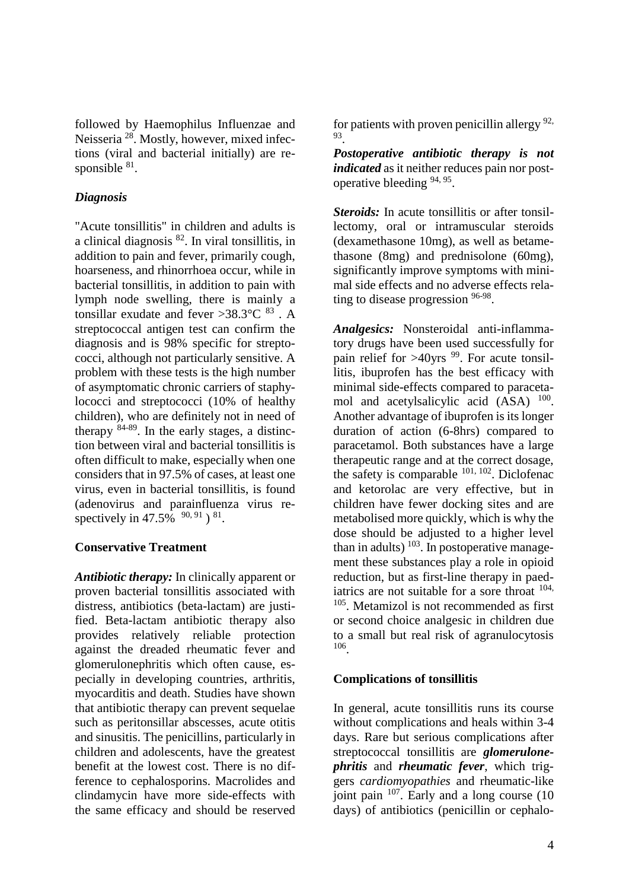followed by Haemophilus Influenzae and Neisseria <sup>28</sup>. Mostly, however, mixed infections (viral and bacterial initially) are responsible  $^{81}$ .

## *Diagnosis*

"Acute tonsillitis" in children and adults is a clinical diagnosis <sup>82</sup>. In viral tonsillitis, in addition to pain and fever, primarily cough, hoarseness, and rhinorrhoea occur, while in bacterial tonsillitis, in addition to pain with lymph node swelling, there is mainly a tonsillar exudate and fever >38.3 $\degree$ C  $^{83}$  . A streptococcal antigen test can confirm the diagnosis and is 98% specific for streptococci, although not particularly sensitive. A problem with these tests is the high number of asymptomatic chronic carriers of staphylococci and streptococci (10% of healthy children), who are definitely not in need of therapy 84-89. In the early stages, a distinction between viral and bacterial tonsillitis is often difficult to make, especially when one considers that in 97.5% of cases, at least one virus, even in bacterial tonsillitis, is found (adenovirus and parainfluenza virus respectively in 47.5%  $90, 91$   $81$ .

## **Conservative Treatment**

*Antibiotic therapy:* In clinically apparent or proven bacterial tonsillitis associated with distress, antibiotics (beta-lactam) are justified. Beta-lactam antibiotic therapy also provides relatively reliable protection against the dreaded rheumatic fever and glomerulonephritis which often cause, especially in developing countries, arthritis, myocarditis and death. Studies have shown that antibiotic therapy can prevent sequelae such as peritonsillar abscesses, acute otitis and sinusitis. The penicillins, particularly in children and adolescents, have the greatest benefit at the lowest cost. There is no difference to cephalosporins. Macrolides and clindamycin have more side-effects with the same efficacy and should be reserved

for patients with proven penicillin allergy  $92$ , 93 .

*Postoperative antibiotic therapy is not indicated* as it neither reduces pain nor postoperative bleeding <sup>94, 95</sup>.

*Steroids:* In acute tonsillitis or after tonsillectomy, oral or intramuscular steroids (dexamethasone 10mg), as well as betamethasone (8mg) and prednisolone (60mg), significantly improve symptoms with minimal side effects and no adverse effects relating to disease progression <sup>96-98</sup>.

*Analgesics:* Nonsteroidal anti-inflammatory drugs have been used successfully for pain relief for  $>40$ yrs <sup>99</sup>. For acute tonsillitis, ibuprofen has the best efficacy with minimal side-effects compared to paracetamol and acetylsalicylic acid (ASA) <sup>100</sup>. Another advantage of ibuprofen is its longer duration of action (6-8hrs) compared to paracetamol. Both substances have a large therapeutic range and at the correct dosage, the safety is comparable <sup>101, 102</sup>. Diclofenac and ketorolac are very effective, but in children have fewer docking sites and are metabolised more quickly, which is why the dose should be adjusted to a higher level than in adults)  $103$ . In postoperative management these substances play a role in opioid reduction, but as first-line therapy in paediatrics are not suitable for a sore throat  $104$ , <sup>105</sup>. Metamizol is not recommended as first or second choice analgesic in children due to a small but real risk of agranulocytosis 106 .

# **Complications of tonsillitis**

In general, acute tonsillitis runs its course without complications and heals within 3-4 days. Rare but serious complications after streptococcal tonsillitis are *glomerulonephritis* and *rheumatic fever*, which triggers *cardiomyopathies* and rheumatic-like joint pain  $107$ . Early and a long course (10) days) of antibiotics (penicillin or cephalo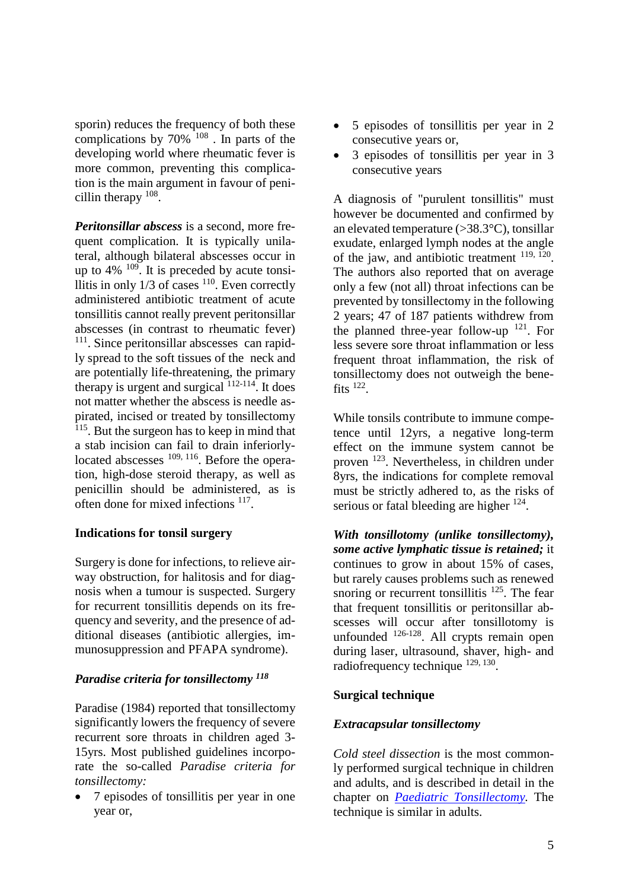sporin) reduces the frequency of both these complications by  $70\%$  <sup>108</sup>. In parts of the developing world where rheumatic fever is more common, preventing this complication is the main argument in favour of penicillin therapy <sup>108</sup>.

*Peritonsillar abscess* is a second, more frequent complication. It is typically unilateral, although bilateral abscesses occur in up to  $4\%$   $^{109}$ . It is preceded by acute tonsillitis in only  $1/3$  of cases  $110$ . Even correctly administered antibiotic treatment of acute tonsillitis cannot really prevent peritonsillar abscesses (in contrast to rheumatic fever) <sup>111</sup>. Since peritonsillar abscesses can rapidly spread to the soft tissues of the neck and are potentially life-threatening, the primary therapy is urgent and surgical  $112-114$ . It does not matter whether the abscess is needle aspirated, incised or treated by tonsillectomy <sup>115</sup>. But the surgeon has to keep in mind that a stab incision can fail to drain inferiorlylocated abscesses  $109, 116$ . Before the operation, high-dose steroid therapy, as well as penicillin should be administered, as is often done for mixed infections <sup>117</sup>.

## **Indications for tonsil surgery**

Surgery is done for infections, to relieve airway obstruction, for halitosis and for diagnosis when a tumour is suspected. Surgery for recurrent tonsillitis depends on its frequency and severity, and the presence of additional diseases (antibiotic allergies, immunosuppression and PFAPA syndrome).

## *Paradise criteria for tonsillectomy <sup>118</sup>*

Paradise (1984) reported that tonsillectomy significantly lowers the frequency of severe recurrent sore throats in children aged 3- 15yrs. Most published guidelines incorporate the so-called *Paradise criteria for tonsillectomy:*

• 7 episodes of tonsillitis per year in one year or,

- 5 episodes of tonsillitis per year in 2 consecutive years or,
- 3 episodes of tonsillitis per year in 3 consecutive years

A diagnosis of "purulent tonsillitis" must however be documented and confirmed by an elevated temperature (>38.3°C), tonsillar exudate, enlarged lymph nodes at the angle of the jaw, and antibiotic treatment <sup>119, 120</sup>. The authors also reported that on average only a few (not all) throat infections can be prevented by tonsillectomy in the following 2 years; 47 of 187 patients withdrew from the planned three-year follow-up  $^{121}$ . For less severe sore throat inflammation or less frequent throat inflammation, the risk of tonsillectomy does not outweigh the benefits  $^{122}$ .

While tonsils contribute to immune competence until 12yrs, a negative long-term effect on the immune system cannot be proven <sup>123</sup>. Nevertheless, in children under 8yrs, the indications for complete removal must be strictly adhered to, as the risks of serious or fatal bleeding are higher <sup>124</sup>.

*With tonsillotomy (unlike tonsillectomy), some active lymphatic tissue is retained;* it continues to grow in about 15% of cases, but rarely causes problems such as renewed snoring or recurrent tonsillitis  $^{125}$ . The fear that frequent tonsillitis or peritonsillar abscesses will occur after tonsillotomy is unfounded  $^{126-128}$ . All crypts remain open during laser, ultrasound, shaver, high- and radiofrequency technique <sup>129, 130</sup>.

# **Surgical technique**

# *Extracapsular tonsillectomy*

*Cold steel dissection* is the most commonly performed surgical technique in children and adults, and is described in detail in the chapter on *[Paediatric Tonsillectomy.](https://vula.uct.ac.za/access/content/group/ba5fb1bd-be95-48e5-81be-586fbaeba29d/Paediatric%20Tonsillectomy.pdf)* The technique is similar in adults.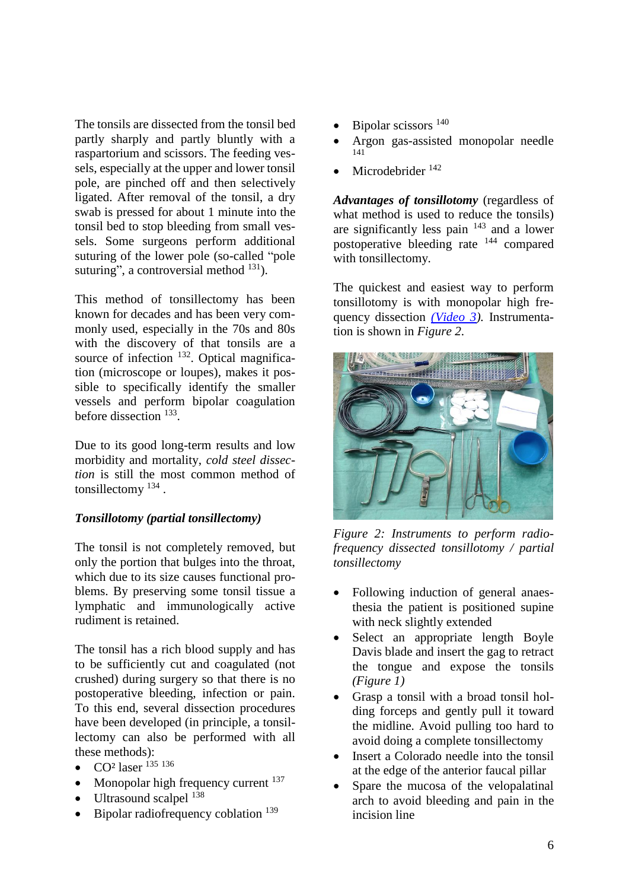The tonsils are dissected from the tonsil bed partly sharply and partly bluntly with a raspartorium and scissors. The feeding vessels, especially at the upper and lower tonsil pole, are pinched off and then selectively ligated. After removal of the tonsil, a dry swab is pressed for about 1 minute into the tonsil bed to stop bleeding from small vessels. Some surgeons perform additional suturing of the lower pole (so-called "pole suturing", a controversial method  $^{131}$ ).

This method of tonsillectomy has been known for decades and has been very commonly used, especially in the 70s and 80s with the discovery of that tonsils are a source of infection  $^{132}$ . Optical magnification (microscope or loupes), makes it possible to specifically identify the smaller vessels and perform bipolar coagulation before dissection <sup>133</sup>.

Due to its good long-term results and low morbidity and mortality, *cold steel dissection* is still the most common method of tonsillectomy  $^{134}$ .

## *Tonsillotomy (partial tonsillectomy)*

The tonsil is not completely removed, but only the portion that bulges into the throat, which due to its size causes functional problems. By preserving some tonsil tissue a lymphatic and immunologically active rudiment is retained.

The tonsil has a rich blood supply and has to be sufficiently cut and coagulated (not crushed) during surgery so that there is no postoperative bleeding, infection or pain. To this end, several dissection procedures have been developed (in principle, a tonsillectomy can also be performed with all these methods):

- CO<sup>2</sup> laser  $^{135}$  136
- Monopolar high frequency current  $137$
- Ultrasound scalpel  $^{138}$
- Bipolar radiofrequency coblation  $^{139}$
- Bipolar scissors<sup>140</sup>
- Argon gas-assisted monopolar needle 141
- Microdebrider<sup>142</sup>

*Advantages of tonsillotomy* (regardless of what method is used to reduce the tonsils) are significantly less pain <sup>143</sup> and a lower postoperative bleeding rate <sup>144</sup> compared with tonsillectomy.

The quickest and easiest way to perform tonsillotomy is with monopolar high frequency dissection *[\(Video 3\)](http://youtu.be/eQ7bbT0mj0k).* Instrumentation is shown in *Figure 2*.



*Figure 2: Instruments to perform radiofrequency dissected tonsillotomy / partial tonsillectomy*

- Following induction of general anaesthesia the patient is positioned supine with neck slightly extended
- Select an appropriate length Boyle Davis blade and insert the gag to retract the tongue and expose the tonsils *(Figure 1)*
- Grasp a tonsil with a broad tonsil holding forceps and gently pull it toward the midline. Avoid pulling too hard to avoid doing a complete tonsillectomy
- Insert a Colorado needle into the tonsil at the edge of the anterior faucal pillar
- Spare the mucosa of the velopalatinal arch to avoid bleeding and pain in the incision line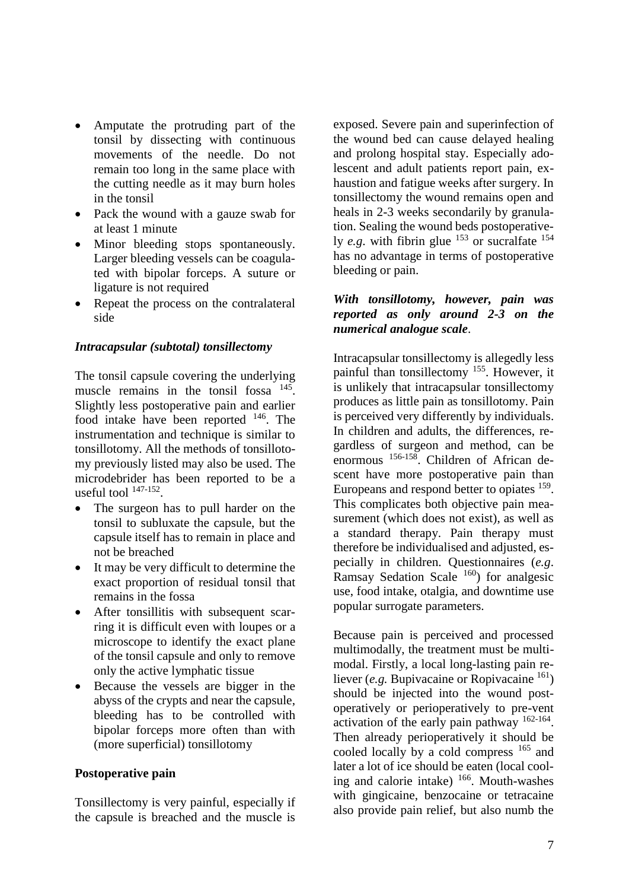- Amputate the protruding part of the tonsil by dissecting with continuous movements of the needle. Do not remain too long in the same place with the cutting needle as it may burn holes in the tonsil
- Pack the wound with a gauze swab for at least 1 minute
- Minor bleeding stops spontaneously. Larger bleeding vessels can be coagulated with bipolar forceps. A suture or ligature is not required
- Repeat the process on the contralateral side

#### *Intracapsular (subtotal) tonsillectomy*

The tonsil capsule covering the underlying muscle remains in the tonsil fossa <sup>145</sup>. Slightly less postoperative pain and earlier food intake have been reported <sup>146</sup>. The instrumentation and technique is similar to tonsillotomy. All the methods of tonsillotomy previously listed may also be used. The microdebrider has been reported to be a useful tool  $147-152$ .

- The surgeon has to pull harder on the tonsil to subluxate the capsule, but the capsule itself has to remain in place and not be breached
- It may be very difficult to determine the exact proportion of residual tonsil that remains in the fossa
- After tonsillitis with subsequent scarring it is difficult even with loupes or a microscope to identify the exact plane of the tonsil capsule and only to remove only the active lymphatic tissue
- Because the vessels are bigger in the abyss of the crypts and near the capsule, bleeding has to be controlled with bipolar forceps more often than with (more superficial) tonsillotomy

## **Postoperative pain**

Tonsillectomy is very painful, especially if the capsule is breached and the muscle is exposed. Severe pain and superinfection of the wound bed can cause delayed healing and prolong hospital stay. Especially adolescent and adult patients report pain, exhaustion and fatigue weeks after surgery. In tonsillectomy the wound remains open and heals in 2-3 weeks secondarily by granulation. Sealing the wound beds postoperatively *e.g.* with fibrin glue <sup>153</sup> or sucralfate <sup>154</sup> has no advantage in terms of postoperative bleeding or pain.

#### *With tonsillotomy, however, pain was reported as only around 2-3 on the numerical analogue scale*.

Intracapsular tonsillectomy is allegedly less painful than tonsillectomy <sup>155</sup>. However, it is unlikely that intracapsular tonsillectomy produces as little pain as tonsillotomy. Pain is perceived very differently by individuals. In children and adults, the differences, regardless of surgeon and method, can be enormous 156-158. Children of African descent have more postoperative pain than Europeans and respond better to opiates <sup>159</sup>. This complicates both objective pain measurement (which does not exist), as well as a standard therapy. Pain therapy must therefore be individualised and adjusted, especially in children. Questionnaires (*e.g*. Ramsay Sedation Scale  $160$  for analgesic use, food intake, otalgia, and downtime use popular surrogate parameters.

Because pain is perceived and processed multimodally, the treatment must be multimodal. Firstly, a local long-lasting pain reliever (*e.g.* Bupivacaine or Ropivacaine  $^{161}$ ) should be injected into the wound postoperatively or perioperatively to pre-vent activation of the early pain pathway <sup>162-164</sup>. Then already perioperatively it should be cooled locally by a cold compress <sup>165</sup> and later a lot of ice should be eaten (local cooling and calorie intake) <sup>166</sup>. Mouth-washes with gingicaine, benzocaine or tetracaine also provide pain relief, but also numb the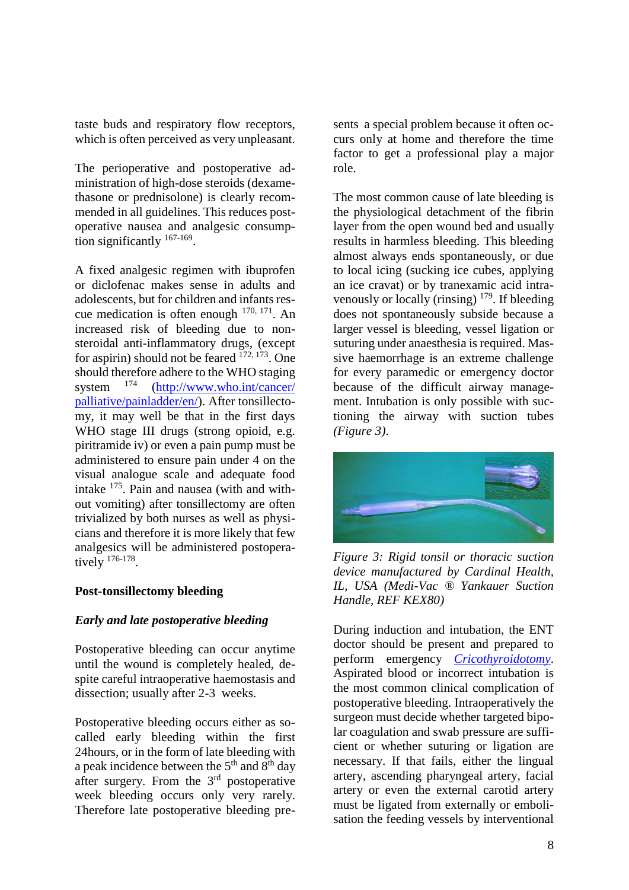taste buds and respiratory flow receptors, which is often perceived as very unpleasant.

The perioperative and postoperative administration of high-dose steroids (dexamethasone or prednisolone) is clearly recommended in all guidelines. This reduces postoperative nausea and analgesic consumption significantly <sup>167-169</sup>.

A fixed analgesic regimen with ibuprofen or diclofenac makes sense in adults and adolescents, but for children and infants rescue medication is often enough  $170, 171$ . An increased risk of bleeding due to nonsteroidal anti-inflammatory drugs, (except for aspirin) should not be feared  $172, 173$ . One should therefore adhere to the WHO staging system  $^{174}$  (http://www.who.int/cancer/ [palliative/painladder/en/\)](http://www.who.int/cancer/%20palliative/painladder/en/). After tonsillectomy, it may well be that in the first days WHO stage III drugs (strong opioid, e.g. piritramide iv) or even a pain pump must be administered to ensure pain under 4 on the visual analogue scale and adequate food intake <sup>175</sup>. Pain and nausea (with and without vomiting) after tonsillectomy are often trivialized by both nurses as well as physicians and therefore it is more likely that few analgesics will be administered postoperatively  $176-178$ .

## **Post-tonsillectomy bleeding**

#### *Early and late postoperative bleeding*

Postoperative bleeding can occur anytime until the wound is completely healed, despite careful intraoperative haemostasis and dissection; usually after 2-3 weeks.

Postoperative bleeding occurs either as socalled early bleeding within the first 24hours, or in the form of late bleeding with a peak incidence between the  $5<sup>th</sup>$  and  $8<sup>th</sup>$  day after surgery. From the 3rd postoperative week bleeding occurs only very rarely. Therefore late postoperative bleeding presents a special problem because it often occurs only at home and therefore the time factor to get a professional play a major role.

The most common cause of late bleeding is the physiological detachment of the fibrin layer from the open wound bed and usually results in harmless bleeding. This bleeding almost always ends spontaneously, or due to local icing (sucking ice cubes, applying an ice cravat) or by tranexamic acid intravenously or locally (rinsing)  $179$ . If bleeding does not spontaneously subside because a larger vessel is bleeding, vessel ligation or suturing under anaesthesia is required. Massive haemorrhage is an extreme challenge for every paramedic or emergency doctor because of the difficult airway management. Intubation is only possible with suctioning the airway with suction tubes *(Figure 3)*.



*Figure 3: Rigid tonsil or thoracic suction device manufactured by Cardinal Health, IL, USA (Medi-Vac ® Yankauer Suction Handle, REF KEX80)*

During induction and intubation, the ENT doctor should be present and prepared to perform emergency *[Cricothyroidotomy](https://vula.uct.ac.za/access/content/group/ba5fb1bd-be95-48e5-81be-586fbaeba29d/Cricothyroidotomy%20and%20needle%20cricothyrotomy.pdf)*. Aspirated blood or incorrect intubation is the most common clinical complication of postoperative bleeding. Intraoperatively the surgeon must decide whether targeted bipolar coagulation and swab pressure are sufficient or whether suturing or ligation are necessary. If that fails, either the lingual artery, ascending pharyngeal artery, facial artery or even the external carotid artery must be ligated from externally or embolisation the feeding vessels by interventional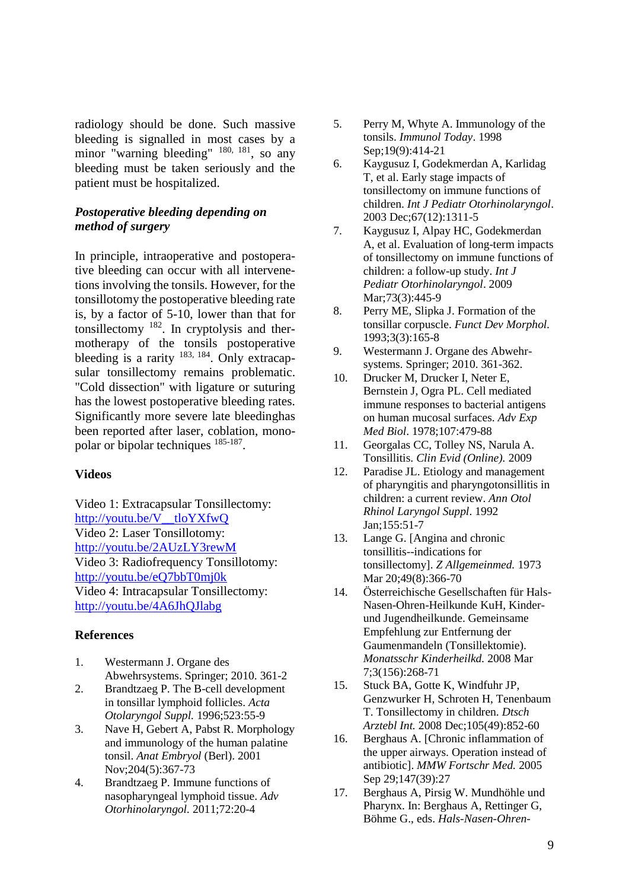radiology should be done. Such massive bleeding is signalled in most cases by a minor "warning bleeding" <sup>180, 181</sup>, so any bleeding must be taken seriously and the patient must be hospitalized.

#### *Postoperative bleeding depending on method of surgery*

In principle, intraoperative and postoperative bleeding can occur with all intervenetions involving the tonsils. However, for the tonsillotomy the postoperative bleeding rate is, by a factor of 5-10, lower than that for tonsillectomy <sup>182</sup>. In cryptolysis and thermotherapy of the tonsils postoperative bleeding is a rarity  $^{183, 184}$ . Only extracapsular tonsillectomy remains problematic. "Cold dissection" with ligature or suturing has the lowest postoperative bleeding rates. Significantly more severe late bleedinghas been reported after laser, coblation, monopolar or bipolar techniques  $185-187$ .

#### **Videos**

Video 1: Extracapsular Tonsillectomy: [http://youtu.be/V\\_\\_tloYXfwQ](http://youtu.be/V__tloYXfwQ) Video 2: Laser Tonsillotomy: <http://youtu.be/2AUzLY3rewM> Video 3: Radiofrequency Tonsillotomy: <http://youtu.be/eQ7bbT0mj0k> Video 4: Intracapsular Tonsillectomy: <http://youtu.be/4A6JhQJlabg>

#### **References**

- 1. Westermann J. Organe des Abwehrsystems. Springer; 2010. 361-2
- 2. Brandtzaeg P. The B-cell development in tonsillar lymphoid follicles. *Acta Otolaryngol Suppl.* 1996;523:55-9
- 3. Nave H, Gebert A, Pabst R. Morphology and immunology of the human palatine tonsil. *Anat Embryol* (Berl). 2001 Nov;204(5):367-73
- 4. Brandtzaeg P. Immune functions of nasopharyngeal lymphoid tissue. *Adv Otorhinolaryngol.* 2011;72:20-4
- 5. Perry M, Whyte A. Immunology of the tonsils. *Immunol Today*. 1998 Sep;19(9):414-21
- 6. Kaygusuz I, Godekmerdan A, Karlidag T, et al. Early stage impacts of tonsillectomy on immune functions of children. *Int J Pediatr Otorhinolaryngol*. 2003 Dec;67(12):1311-5
- 7. Kaygusuz I, Alpay HC, Godekmerdan A, et al. Evaluation of long-term impacts of tonsillectomy on immune functions of children: a follow-up study. *Int J Pediatr Otorhinolaryngol*. 2009 Mar;73(3):445-9
- 8. Perry ME, Slipka J. Formation of the tonsillar corpuscle. *Funct Dev Morphol.* 1993;3(3):165-8
- 9. Westermann J. Organe des Abwehrsystems. Springer; 2010. 361-362.
- 10. Drucker M, Drucker I, Neter E, Bernstein J, Ogra PL. Cell mediated immune responses to bacterial antigens on human mucosal surfaces. *Adv Exp Med Biol*. 1978;107:479-88
- 11. Georgalas CC, Tolley NS, Narula A. Tonsillitis. *Clin Evid (Online).* 2009
- 12. Paradise JL. Etiology and management of pharyngitis and pharyngotonsillitis in children: a current review. *Ann Otol Rhinol Laryngol Suppl*. 1992 Jan;155:51-7
- 13. Lange G. [Angina and chronic tonsillitis--indications for tonsillectomy]. *Z Allgemeinmed.* 1973 Mar 20;49(8):366-70
- 14. Österreichische Gesellschaften für Hals-Nasen-Ohren-Heilkunde KuH, Kinderund Jugendheilkunde. Gemeinsame Empfehlung zur Entfernung der Gaumenmandeln (Tonsillektomie). *Monatsschr Kinderheilkd.* 2008 Mar 7;3(156):268-71
- 15. Stuck BA, Gotte K, Windfuhr JP, Genzwurker H, Schroten H, Tenenbaum T. Tonsillectomy in children. *Dtsch Arztebl Int.* 2008 Dec;105(49):852-60
- 16. Berghaus A. [Chronic inflammation of the upper airways. Operation instead of antibiotic]. *MMW Fortschr Med.* 2005 Sep 29;147(39):27
- 17. Berghaus A, Pirsig W. Mundhöhle und Pharynx. In: Berghaus A, Rettinger G, Böhme G., eds. *Hals-Nasen-Ohren-*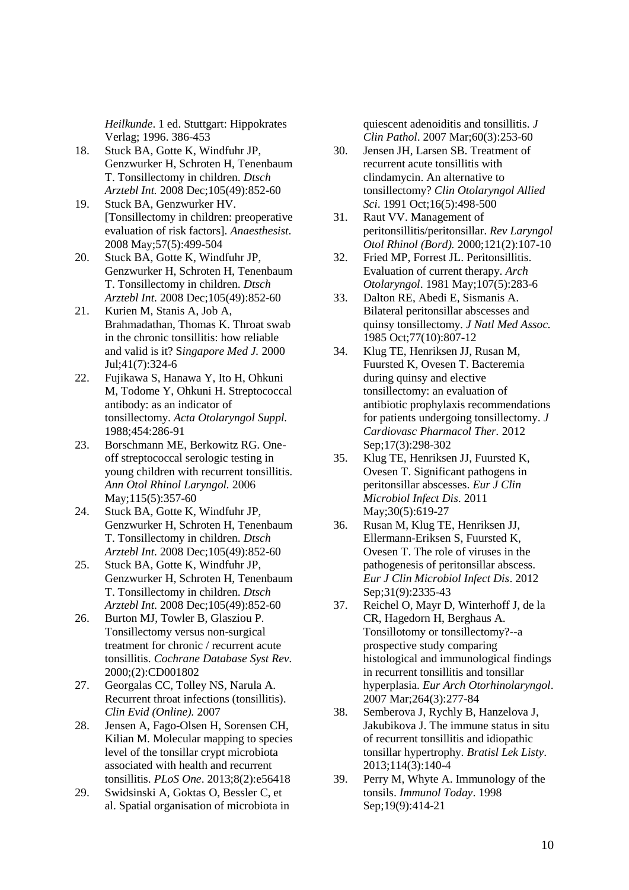*Heilkunde*. 1 ed. Stuttgart: Hippokrates Verlag; 1996. 386-453

- 18. Stuck BA, Gotte K, Windfuhr JP, Genzwurker H, Schroten H, Tenenbaum T. Tonsillectomy in children. *Dtsch Arztebl Int.* 2008 Dec;105(49):852-60
- 19. Stuck BA, Genzwurker HV. [Tonsillectomy in children: preoperative evaluation of risk factors]. *Anaesthesist*. 2008 May;57(5):499-504
- 20. Stuck BA, Gotte K, Windfuhr JP, Genzwurker H, Schroten H, Tenenbaum T. Tonsillectomy in children. *Dtsch Arztebl Int*. 2008 Dec;105(49):852-60
- 21. Kurien M, Stanis A, Job A, Brahmadathan, Thomas K. Throat swab in the chronic tonsillitis: how reliable and valid is it? S*ingapore Med J.* 2000 Jul;41(7):324-6
- 22. Fujikawa S, Hanawa Y, Ito H, Ohkuni M, Todome Y, Ohkuni H. Streptococcal antibody: as an indicator of tonsillectomy. *Acta Otolaryngol Suppl.* 1988;454:286-91
- 23. Borschmann ME, Berkowitz RG. Oneoff streptococcal serologic testing in young children with recurrent tonsillitis. *Ann Otol Rhinol Laryngol.* 2006 May;115(5):357-60
- 24. Stuck BA, Gotte K, Windfuhr JP, Genzwurker H, Schroten H, Tenenbaum T. Tonsillectomy in children. *Dtsch Arztebl Int*. 2008 Dec;105(49):852-60
- 25. Stuck BA, Gotte K, Windfuhr JP, Genzwurker H, Schroten H, Tenenbaum T. Tonsillectomy in children. *Dtsch Arztebl Int*. 2008 Dec;105(49):852-60
- 26. Burton MJ, Towler B, Glasziou P. Tonsillectomy versus non-surgical treatment for chronic / recurrent acute tonsillitis. *Cochrane Database Syst Rev.* 2000;(2):CD001802
- 27. Georgalas CC, Tolley NS, Narula A. Recurrent throat infections (tonsillitis). *Clin Evid (Online).* 2007
- 28. Jensen A, Fago-Olsen H, Sorensen CH, Kilian M. Molecular mapping to species level of the tonsillar crypt microbiota associated with health and recurrent tonsillitis. *PLoS One*. 2013;8(2):e56418
- 29. Swidsinski A, Goktas O, Bessler C, et al. Spatial organisation of microbiota in

quiescent adenoiditis and tonsillitis. *J Clin Pathol*. 2007 Mar;60(3):253-60

- 30. Jensen JH, Larsen SB. Treatment of recurrent acute tonsillitis with clindamycin. An alternative to tonsillectomy? *Clin Otolaryngol Allied Sci*. 1991 Oct;16(5):498-500
- 31. Raut VV. Management of peritonsillitis/peritonsillar. *Rev Laryngol Otol Rhinol (Bord).* 2000;121(2):107-10
- 32. Fried MP, Forrest JL. Peritonsillitis. Evaluation of current therapy. *Arch Otolaryngol*. 1981 May;107(5):283-6
- 33. Dalton RE, Abedi E, Sismanis A. Bilateral peritonsillar abscesses and quinsy tonsillectomy. *J Natl Med Assoc.* 1985 Oct;77(10):807-12
- 34. Klug TE, Henriksen JJ, Rusan M, Fuursted K, Ovesen T. Bacteremia during quinsy and elective tonsillectomy: an evaluation of antibiotic prophylaxis recommendations for patients undergoing tonsillectomy. *J Cardiovasc Pharmacol Ther.* 2012 Sep;17(3):298-302
- 35. Klug TE, Henriksen JJ, Fuursted K, Ovesen T. Significant pathogens in peritonsillar abscesses. *Eur J Clin Microbiol Infect Dis*. 2011 May;30(5):619-27
- 36. Rusan M, Klug TE, Henriksen JJ, Ellermann-Eriksen S, Fuursted K, Ovesen T. The role of viruses in the pathogenesis of peritonsillar abscess. *Eur J Clin Microbiol Infect Dis*. 2012 Sep;31(9):2335-43
- 37. Reichel O, Mayr D, Winterhoff J, de la CR, Hagedorn H, Berghaus A. Tonsillotomy or tonsillectomy?--a prospective study comparing histological and immunological findings in recurrent tonsillitis and tonsillar hyperplasia. *Eur Arch Otorhinolaryngol*. 2007 Mar;264(3):277-84
- 38. Semberova J, Rychly B, Hanzelova J, Jakubikova J. The immune status in situ of recurrent tonsillitis and idiopathic tonsillar hypertrophy. *Bratisl Lek Listy*. 2013;114(3):140-4
- 39. Perry M, Whyte A. Immunology of the tonsils. *Immunol Today*. 1998 Sep;19(9):414-21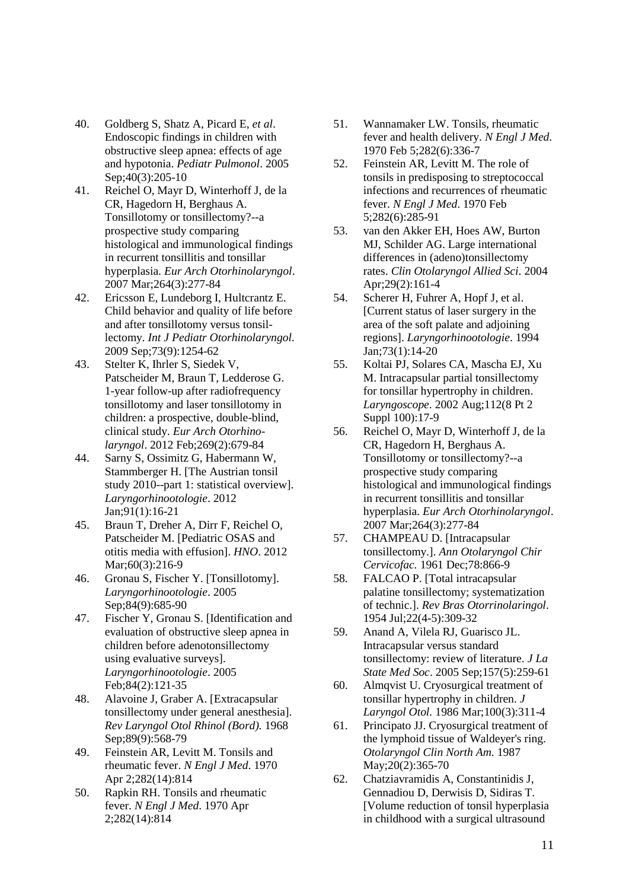- 40. Goldberg S, Shatz A, Picard E, *et al*. Endoscopic findings in children with obstructive sleep apnea: effects of age and hypotonia. *Pediatr Pulmonol*. 2005 Sep;40(3):205-10
- 41. Reichel O, Mayr D, Winterhoff J, de la CR, Hagedorn H, Berghaus A. Tonsillotomy or tonsillectomy?--a prospective study comparing histological and immunological findings in recurrent tonsillitis and tonsillar hyperplasia. *Eur Arch Otorhinolaryngol*. 2007 Mar;264(3):277-84
- 42. Ericsson E, Lundeborg I, Hultcrantz E. Child behavior and quality of life before and after tonsillotomy versus tonsillectomy. *Int J Pediatr Otorhinolaryngol.* 2009 Sep;73(9):1254-62
- 43. Stelter K, Ihrler S, Siedek V, Patscheider M, Braun T, Ledderose G. 1-year follow-up after radiofrequency tonsillotomy and laser tonsillotomy in children: a prospective, double-blind, clinical study. *Eur Arch Otorhinolaryngol*. 2012 Feb;269(2):679-84
- 44. Sarny S, Ossimitz G, Habermann W, Stammberger H. [The Austrian tonsil study 2010--part 1: statistical overview]. *Laryngorhinootologie*. 2012 Jan;91(1):16-21
- 45. Braun T, Dreher A, Dirr F, Reichel O, Patscheider M. [Pediatric OSAS and otitis media with effusion]. *HNO*. 2012 Mar; 60(3): 216-9
- 46. Gronau S, Fischer Y. [Tonsillotomy]. *Laryngorhinootologie*. 2005 Sep;84(9):685-90
- 47. Fischer Y, Gronau S. [Identification and evaluation of obstructive sleep apnea in children before adenotonsillectomy using evaluative surveys]. *Laryngorhinootologie*. 2005 Feb;84(2):121-35
- 48. Alavoine J, Graber A. [Extracapsular tonsillectomy under general anesthesia]. *Rev Laryngol Otol Rhinol (Bord).* 1968 Sep;89(9):568-79
- 49. Feinstein AR, Levitt M. Tonsils and rheumatic fever. *N Engl J Med*. 1970 Apr 2;282(14):814
- 50. Rapkin RH. Tonsils and rheumatic fever. *N Engl J Med*. 1970 Apr 2;282(14):814
- 51. Wannamaker LW. Tonsils, rheumatic fever and health delivery. *N Engl J Med*. 1970 Feb 5;282(6):336-7
- 52. Feinstein AR, Levitt M. The role of tonsils in predisposing to streptococcal infections and recurrences of rheumatic fever. *N Engl J Med*. 1970 Feb 5;282(6):285-91
- 53. van den Akker EH, Hoes AW, Burton MJ, Schilder AG. Large international differences in (adeno)tonsillectomy rates. *Clin Otolaryngol Allied Sci*. 2004 Apr;29(2):161-4
- 54. Scherer H, Fuhrer A, Hopf J, et al. [Current status of laser surgery in the area of the soft palate and adjoining regions]. *Laryngorhinootologie*. 1994 Jan;73(1):14-20
- 55. Koltai PJ, Solares CA, Mascha EJ, Xu M. Intracapsular partial tonsillectomy for tonsillar hypertrophy in children. *Laryngoscope*. 2002 Aug;112(8 Pt 2 Suppl 100):17-9
- 56. Reichel O, Mayr D, Winterhoff J, de la CR, Hagedorn H, Berghaus A. Tonsillotomy or tonsillectomy?--a prospective study comparing histological and immunological findings in recurrent tonsillitis and tonsillar hyperplasia. *Eur Arch Otorhinolaryngol*. 2007 Mar;264(3):277-84
- 57. CHAMPEAU D. [Intracapsular tonsillectomy.]. *Ann Otolaryngol Chir Cervicofac.* 1961 Dec;78:866-9
- 58. FALCAO P. [Total intracapsular palatine tonsillectomy; systematization of technic.]. *Rev Bras Otorrinolaringol*. 1954 Jul;22(4-5):309-32
- 59. Anand A, Vilela RJ, Guarisco JL. Intracapsular versus standard tonsillectomy: review of literature. *J La State Med Soc*. 2005 Sep;157(5):259-61
- 60. Almqvist U. Cryosurgical treatment of tonsillar hypertrophy in children. *J Laryngol Otol.* 1986 Mar;100(3):311-4
- 61. Principato JJ. Cryosurgical treatment of the lymphoid tissue of Waldeyer's ring. *Otolaryngol Clin North Am*. 1987 May;20(2):365-70
- 62. Chatziavramidis A, Constantinidis J, Gennadiou D, Derwisis D, Sidiras T. [Volume reduction of tonsil hyperplasia in childhood with a surgical ultrasound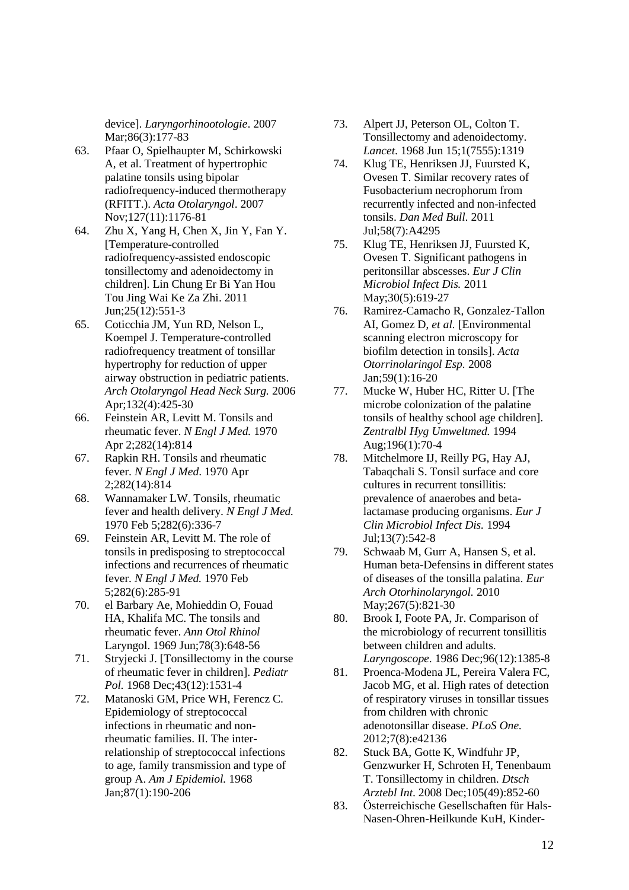device]. *Laryngorhinootologie*. 2007 Mar;86(3):177-83

- 63. Pfaar O, Spielhaupter M, Schirkowski A, et al. Treatment of hypertrophic palatine tonsils using bipolar radiofrequency-induced thermotherapy (RFITT.). *Acta Otolaryngol*. 2007 Nov;127(11):1176-81
- 64. Zhu X, Yang H, Chen X, Jin Y, Fan Y. [Temperature-controlled radiofrequency-assisted endoscopic tonsillectomy and adenoidectomy in children]. Lin Chung Er Bi Yan Hou Tou Jing Wai Ke Za Zhi. 2011 Jun;25(12):551-3
- 65. Coticchia JM, Yun RD, Nelson L, Koempel J. Temperature-controlled radiofrequency treatment of tonsillar hypertrophy for reduction of upper airway obstruction in pediatric patients. *Arch Otolaryngol Head Neck Surg.* 2006 Apr;132(4):425-30
- 66. Feinstein AR, Levitt M. Tonsils and rheumatic fever. *N Engl J Med.* 1970 Apr 2;282(14):814
- 67. Rapkin RH. Tonsils and rheumatic fever. *N Engl J Med*. 1970 Apr 2;282(14):814
- 68. Wannamaker LW. Tonsils, rheumatic fever and health delivery. *N Engl J Med.* 1970 Feb 5;282(6):336-7
- 69. Feinstein AR, Levitt M. The role of tonsils in predisposing to streptococcal infections and recurrences of rheumatic fever. *N Engl J Med.* 1970 Feb 5;282(6):285-91
- 70. el Barbary Ae, Mohieddin O, Fouad HA, Khalifa MC. The tonsils and rheumatic fever. *Ann Otol Rhinol*  Laryngol. 1969 Jun;78(3):648-56
- 71. Stryjecki J. [Tonsillectomy in the course of rheumatic fever in children]. *Pediatr Pol.* 1968 Dec;43(12):1531-4
- 72. Matanoski GM, Price WH, Ferencz C. Epidemiology of streptococcal infections in rheumatic and nonrheumatic families. II. The interrelationship of streptococcal infections to age, family transmission and type of group A. *Am J Epidemiol.* 1968 Jan;87(1):190-206
- 73. Alpert JJ, Peterson OL, Colton T. Tonsillectomy and adenoidectomy. *Lancet*. 1968 Jun 15;1(7555):1319
- 74. Klug TE, Henriksen JJ, Fuursted K, Ovesen T. Similar recovery rates of Fusobacterium necrophorum from recurrently infected and non-infected tonsils. *Dan Med Bull.* 2011 Jul;58(7):A4295
- 75. Klug TE, Henriksen JJ, Fuursted K, Ovesen T. Significant pathogens in peritonsillar abscesses. *Eur J Clin Microbiol Infect Dis.* 2011 May;30(5):619-27
- 76. Ramirez-Camacho R, Gonzalez-Tallon AI, Gomez D, *et al.* [Environmental scanning electron microscopy for biofilm detection in tonsils]. *Acta Otorrinolaringol Esp.* 2008 Jan;59(1):16-20
- 77. Mucke W, Huber HC, Ritter U. [The microbe colonization of the palatine tonsils of healthy school age children]. *Zentralbl Hyg Umweltmed.* 1994 Aug;196(1):70-4
- 78. Mitchelmore IJ, Reilly PG, Hay AJ, Tabaqchali S. Tonsil surface and core cultures in recurrent tonsillitis: prevalence of anaerobes and betalactamase producing organisms. *Eur J Clin Microbiol Infect Dis.* 1994 Jul;13(7):542-8
- 79. Schwaab M, Gurr A, Hansen S, et al. Human beta-Defensins in different states of diseases of the tonsilla palatina. *Eur Arch Otorhinolaryngol.* 2010 May;267(5):821-30
- 80. Brook I, Foote PA, Jr. Comparison of the microbiology of recurrent tonsillitis between children and adults. *Laryngoscope*. 1986 Dec;96(12):1385-8
- 81. Proenca-Modena JL, Pereira Valera FC, Jacob MG, et al. High rates of detection of respiratory viruses in tonsillar tissues from children with chronic adenotonsillar disease. *PLoS One.* 2012;7(8):e42136
- 82. Stuck BA, Gotte K, Windfuhr JP, Genzwurker H, Schroten H, Tenenbaum T. Tonsillectomy in children. *Dtsch Arztebl Int*. 2008 Dec;105(49):852-60
- 83. Österreichische Gesellschaften für Hals-Nasen-Ohren-Heilkunde KuH, Kinder-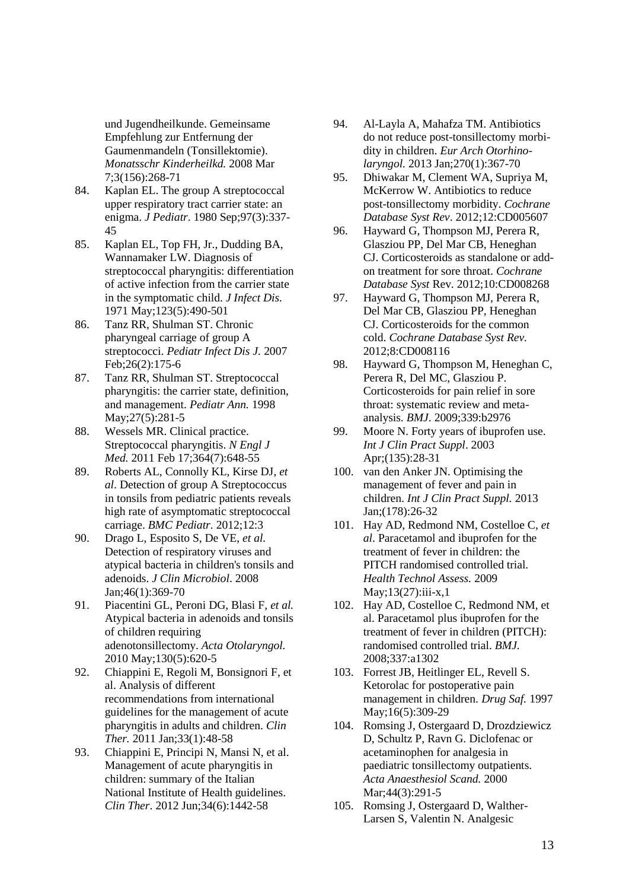und Jugendheilkunde. Gemeinsame Empfehlung zur Entfernung der Gaumenmandeln (Tonsillektomie). *Monatsschr Kinderheilkd.* 2008 Mar 7;3(156):268-71

- 84. Kaplan EL. The group A streptococcal upper respiratory tract carrier state: an enigma. *J Pediatr*. 1980 Sep;97(3):337- 45
- 85. Kaplan EL, Top FH, Jr., Dudding BA, Wannamaker LW. Diagnosis of streptococcal pharyngitis: differentiation of active infection from the carrier state in the symptomatic child. *J Infect Dis.* 1971 May;123(5):490-501
- 86. Tanz RR, Shulman ST. Chronic pharyngeal carriage of group A streptococci. *Pediatr Infect Dis J.* 2007 Feb;26(2):175-6
- 87. Tanz RR, Shulman ST. Streptococcal pharyngitis: the carrier state, definition, and management. *Pediatr Ann.* 1998 May;27(5):281-5
- 88. Wessels MR. Clinical practice. Streptococcal pharyngitis. *N Engl J Med.* 2011 Feb 17;364(7):648-55
- 89. Roberts AL, Connolly KL, Kirse DJ, *et al*. Detection of group A Streptococcus in tonsils from pediatric patients reveals high rate of asymptomatic streptococcal carriage. *BMC Pediatr*. 2012;12:3
- 90. Drago L, Esposito S, De VE, *et al.* Detection of respiratory viruses and atypical bacteria in children's tonsils and adenoids. *J Clin Microbiol*. 2008 Jan;46(1):369-70
- 91. Piacentini GL, Peroni DG, Blasi F, *et al.* Atypical bacteria in adenoids and tonsils of children requiring adenotonsillectomy. *Acta Otolaryngol.* 2010 May;130(5):620-5
- 92. Chiappini E, Regoli M, Bonsignori F, et al. Analysis of different recommendations from international guidelines for the management of acute pharyngitis in adults and children. *Clin Ther.* 2011 Jan;33(1):48-58
- 93. Chiappini E, Principi N, Mansi N, et al. Management of acute pharyngitis in children: summary of the Italian National Institute of Health guidelines. *Clin Ther*. 2012 Jun;34(6):1442-58
- 94. Al-Layla A, Mahafza TM. Antibiotics do not reduce post-tonsillectomy morbidity in children. *Eur Arch Otorhinolaryngol.* 2013 Jan;270(1):367-70
- 95. Dhiwakar M, Clement WA, Supriya M, McKerrow W. Antibiotics to reduce post-tonsillectomy morbidity. *Cochrane Database Syst Rev*. 2012;12:CD005607
- 96. Hayward G, Thompson MJ, Perera R, Glasziou PP, Del Mar CB, Heneghan CJ. Corticosteroids as standalone or addon treatment for sore throat. *Cochrane Database Syst* Rev. 2012;10:CD008268
- 97. Hayward G, Thompson MJ, Perera R, Del Mar CB, Glasziou PP, Heneghan CJ. Corticosteroids for the common cold. *Cochrane Database Syst Rev.* 2012;8:CD008116
- 98. Hayward G, Thompson M, Heneghan C, Perera R, Del MC, Glasziou P. Corticosteroids for pain relief in sore throat: systematic review and metaanalysis. *BMJ*. 2009;339:b2976
- 99. Moore N. Forty years of ibuprofen use. *Int J Clin Pract Suppl*. 2003 Apr;(135):28-31
- 100. van den Anker JN. Optimising the management of fever and pain in children. *Int J Clin Pract Suppl.* 2013 Jan;(178):26-32
- 101. Hay AD, Redmond NM, Costelloe C, *et al*. Paracetamol and ibuprofen for the treatment of fever in children: the PITCH randomised controlled trial. *Health Technol Assess.* 2009  $May;13(27):iii-x,1$
- 102. Hay AD, Costelloe C, Redmond NM, et al. Paracetamol plus ibuprofen for the treatment of fever in children (PITCH): randomised controlled trial. *BMJ.*  2008;337:a1302
- 103. Forrest JB, Heitlinger EL, Revell S. Ketorolac for postoperative pain management in children. *Drug Saf.* 1997 May;16(5):309-29
- 104. Romsing J, Ostergaard D, Drozdziewicz D, Schultz P, Ravn G. Diclofenac or acetaminophen for analgesia in paediatric tonsillectomy outpatients. *Acta Anaesthesiol Scand.* 2000 Mar;44(3):291-5
- 105. Romsing J, Ostergaard D, Walther-Larsen S, Valentin N. Analgesic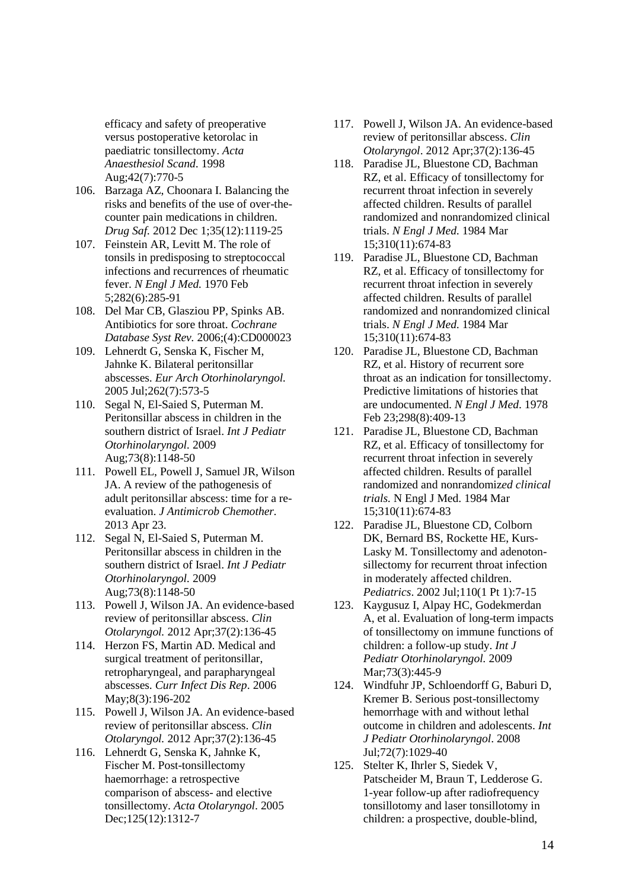efficacy and safety of preoperative versus postoperative ketorolac in paediatric tonsillectomy. *Acta Anaesthesiol Scand*. 1998 Aug;42(7):770-5

- 106. Barzaga AZ, Choonara I. Balancing the risks and benefits of the use of over-thecounter pain medications in children. *Drug Saf.* 2012 Dec 1;35(12):1119-25
- 107. Feinstein AR, Levitt M. The role of tonsils in predisposing to streptococcal infections and recurrences of rheumatic fever. *N Engl J Med.* 1970 Feb 5;282(6):285-91
- 108. Del Mar CB, Glasziou PP, Spinks AB. Antibiotics for sore throat. *Cochrane Database Syst Rev.* 2006;(4):CD000023
- 109. Lehnerdt G, Senska K, Fischer M, Jahnke K. Bilateral peritonsillar abscesses. *Eur Arch Otorhinolaryngol.* 2005 Jul;262(7):573-5
- 110. Segal N, El-Saied S, Puterman M. Peritonsillar abscess in children in the southern district of Israel. *Int J Pediatr Otorhinolaryngol.* 2009 Aug;73(8):1148-50
- 111. Powell EL, Powell J, Samuel JR, Wilson JA. A review of the pathogenesis of adult peritonsillar abscess: time for a reevaluation. *J Antimicrob Chemother.* 2013 Apr 23.
- 112. Segal N, El-Saied S, Puterman M. Peritonsillar abscess in children in the southern district of Israel. *Int J Pediatr Otorhinolaryngol.* 2009 Aug;73(8):1148-50
- 113. Powell J, Wilson JA. An evidence-based review of peritonsillar abscess. *Clin Otolaryngol.* 2012 Apr;37(2):136-45
- 114. Herzon FS, Martin AD. Medical and surgical treatment of peritonsillar, retropharyngeal, and parapharyngeal abscesses. *Curr Infect Dis Rep*. 2006 May;8(3):196-202
- 115. Powell J, Wilson JA. An evidence-based review of peritonsillar abscess. *Clin Otolaryngol.* 2012 Apr;37(2):136-45
- 116. Lehnerdt G, Senska K, Jahnke K, Fischer M. Post-tonsillectomy haemorrhage: a retrospective comparison of abscess- and elective tonsillectomy. *Acta Otolaryngol*. 2005 Dec;125(12):1312-7
- 117. Powell J, Wilson JA. An evidence-based review of peritonsillar abscess. *Clin Otolaryngol*. 2012 Apr;37(2):136-45
- 118. Paradise JL, Bluestone CD, Bachman RZ, et al. Efficacy of tonsillectomy for recurrent throat infection in severely affected children. Results of parallel randomized and nonrandomized clinical trials. *N Engl J Med.* 1984 Mar 15;310(11):674-83
- 119. Paradise JL, Bluestone CD, Bachman RZ, et al. Efficacy of tonsillectomy for recurrent throat infection in severely affected children. Results of parallel randomized and nonrandomized clinical trials. *N Engl J Med.* 1984 Mar 15;310(11):674-83
- 120. Paradise JL, Bluestone CD, Bachman RZ, et al. History of recurrent sore throat as an indication for tonsillectomy. Predictive limitations of histories that are undocumented. *N Engl J Med*. 1978 Feb 23;298(8):409-13
- 121. Paradise JL, Bluestone CD, Bachman RZ, et al. Efficacy of tonsillectomy for recurrent throat infection in severely affected children. Results of parallel randomized and nonrandomiz*ed clinical trials.* N Engl J Med. 1984 Mar 15;310(11):674-83
- 122. Paradise JL, Bluestone CD, Colborn DK, Bernard BS, Rockette HE, Kurs-Lasky M. Tonsillectomy and adenotonsillectomy for recurrent throat infection in moderately affected children. *Pediatrics*. 2002 Jul;110(1 Pt 1):7-15
- 123. Kaygusuz I, Alpay HC, Godekmerdan A, et al. Evaluation of long-term impacts of tonsillectomy on immune functions of children: a follow-up study. *Int J Pediatr Otorhinolaryngol.* 2009 Mar;73(3):445-9
- 124. Windfuhr JP, Schloendorff G, Baburi D, Kremer B. Serious post-tonsillectomy hemorrhage with and without lethal outcome in children and adolescents. *Int J Pediatr Otorhinolaryngol*. 2008 Jul;72(7):1029-40
- 125. Stelter K, Ihrler S, Siedek V, Patscheider M, Braun T, Ledderose G. 1-year follow-up after radiofrequency tonsillotomy and laser tonsillotomy in children: a prospective, double-blind,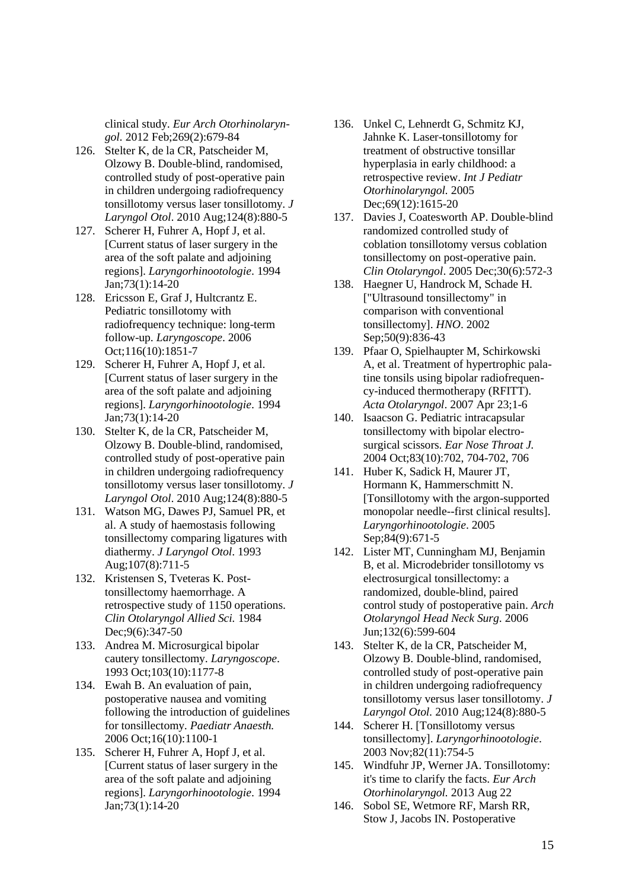clinical study. *Eur Arch Otorhinolaryngol.* 2012 Feb;269(2):679-84

- 126. Stelter K, de la CR, Patscheider M, Olzowy B. Double-blind, randomised, controlled study of post-operative pain in children undergoing radiofrequency tonsillotomy versus laser tonsillotomy. *J Laryngol Otol*. 2010 Aug;124(8):880-5
- 127. Scherer H, Fuhrer A, Hopf J, et al. [Current status of laser surgery in the area of the soft palate and adjoining regions]. *Laryngorhinootologie*. 1994 Jan;73(1):14-20
- 128. Ericsson E, Graf J, Hultcrantz E. Pediatric tonsillotomy with radiofrequency technique: long-term follow-up. *Laryngoscope*. 2006 Oct;116(10):1851-7
- 129. Scherer H, Fuhrer A, Hopf J, et al. [Current status of laser surgery in the area of the soft palate and adjoining regions]. *Laryngorhinootologie*. 1994 Jan;73(1):14-20
- 130. Stelter K, de la CR, Patscheider M, Olzowy B. Double-blind, randomised, controlled study of post-operative pain in children undergoing radiofrequency tonsillotomy versus laser tonsillotomy. *J Laryngol Otol*. 2010 Aug;124(8):880-5
- 131. Watson MG, Dawes PJ, Samuel PR, et al. A study of haemostasis following tonsillectomy comparing ligatures with diathermy. *J Laryngol Otol*. 1993 Aug;107(8):711-5
- 132. Kristensen S, Tveteras K. Posttonsillectomy haemorrhage. A retrospective study of 1150 operations. *Clin Otolaryngol Allied Sci.* 1984 Dec: 9(6): 347-50
- 133. Andrea M. Microsurgical bipolar cautery tonsillectomy. *Laryngoscope*. 1993 Oct;103(10):1177-8
- 134. Ewah B. An evaluation of pain, postoperative nausea and vomiting following the introduction of guidelines for tonsillectomy. *Paediatr Anaesth.* 2006 Oct;16(10):1100-1
- 135. Scherer H, Fuhrer A, Hopf J, et al. [Current status of laser surgery in the area of the soft palate and adjoining regions]. *Laryngorhinootologie*. 1994 Jan;73(1):14-20
- 136. Unkel C, Lehnerdt G, Schmitz KJ, Jahnke K. Laser-tonsillotomy for treatment of obstructive tonsillar hyperplasia in early childhood: a retrospective review. *Int J Pediatr Otorhinolaryngol.* 2005 Dec;69(12):1615-20
- 137. Davies J, Coatesworth AP. Double-blind randomized controlled study of coblation tonsillotomy versus coblation tonsillectomy on post-operative pain. *Clin Otolaryngol*. 2005 Dec;30(6):572-3
- 138. Haegner U, Handrock M, Schade H. ["Ultrasound tonsillectomy" in comparison with conventional tonsillectomy]. *HNO*. 2002 Sep;50(9):836-43
- 139. Pfaar O, Spielhaupter M, Schirkowski A, et al. Treatment of hypertrophic palatine tonsils using bipolar radiofrequency-induced thermotherapy (RFITT). *Acta Otolaryngol*. 2007 Apr 23;1-6
- 140. Isaacson G. Pediatric intracapsular tonsillectomy with bipolar electrosurgical scissors. *Ear Nose Throat J.* 2004 Oct;83(10):702, 704-702, 706
- 141. Huber K, Sadick H, Maurer JT, Hormann K, Hammerschmitt N. [Tonsillotomy with the argon-supported monopolar needle--first clinical results]. *Laryngorhinootologie*. 2005 Sep;84(9):671-5
- 142. Lister MT, Cunningham MJ, Benjamin B, et al. Microdebrider tonsillotomy vs electrosurgical tonsillectomy: a randomized, double-blind, paired control study of postoperative pain. *Arch Otolaryngol Head Neck Surg*. 2006 Jun;132(6):599-604
- 143. Stelter K, de la CR, Patscheider M, Olzowy B. Double-blind, randomised, controlled study of post-operative pain in children undergoing radiofrequency tonsillotomy versus laser tonsillotomy. *J Laryngol Otol.* 2010 Aug;124(8):880-5
- 144. Scherer H. [Tonsillotomy versus tonsillectomy]. *Laryngorhinootologie*. 2003 Nov;82(11):754-5
- 145. Windfuhr JP, Werner JA. Tonsillotomy: it's time to clarify the facts. *Eur Arch Otorhinolaryngol.* 2013 Aug 22
- 146. Sobol SE, Wetmore RF, Marsh RR, Stow J, Jacobs IN. Postoperative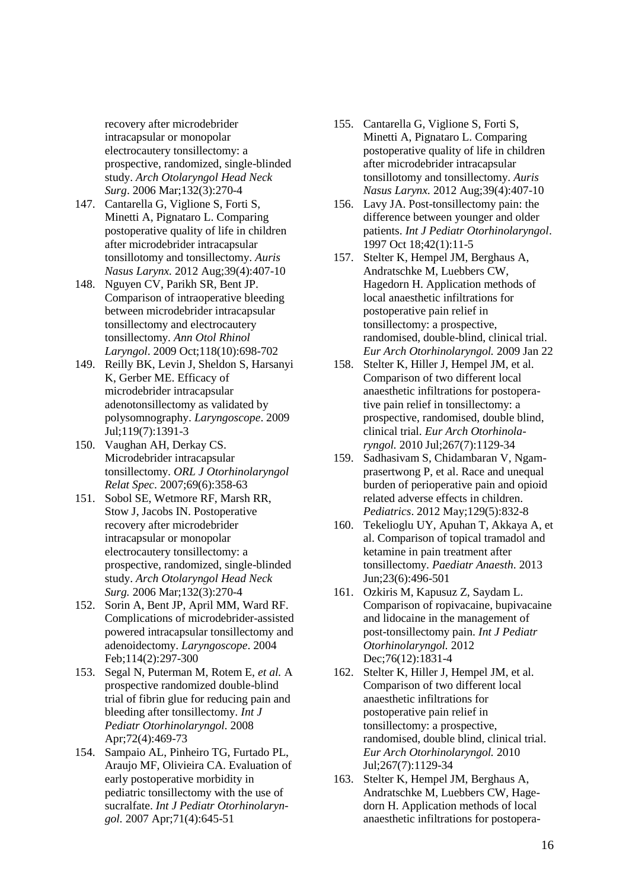recovery after microdebrider intracapsular or monopolar electrocautery tonsillectomy: a prospective, randomized, single-blinded study. *Arch Otolaryngol Head Neck Surg*. 2006 Mar;132(3):270-4

- 147. Cantarella G, Viglione S, Forti S, Minetti A, Pignataro L. Comparing postoperative quality of life in children after microdebrider intracapsular tonsillotomy and tonsillectomy. *Auris Nasus Larynx.* 2012 Aug;39(4):407-10
- 148. Nguyen CV, Parikh SR, Bent JP. Comparison of intraoperative bleeding between microdebrider intracapsular tonsillectomy and electrocautery tonsillectomy. *Ann Otol Rhinol Laryngol*. 2009 Oct;118(10):698-702
- 149. Reilly BK, Levin J, Sheldon S, Harsanyi K, Gerber ME. Efficacy of microdebrider intracapsular adenotonsillectomy as validated by polysomnography. *Laryngoscope*. 2009 Jul;119(7):1391-3
- 150. Vaughan AH, Derkay CS. Microdebrider intracapsular tonsillectomy. *ORL J Otorhinolaryngol Relat Spec*. 2007;69(6):358-63
- 151. Sobol SE, Wetmore RF, Marsh RR, Stow J, Jacobs IN. Postoperative recovery after microdebrider intracapsular or monopolar electrocautery tonsillectomy: a prospective, randomized, single-blinded study. *Arch Otolaryngol Head Neck Surg.* 2006 Mar;132(3):270-4
- 152. Sorin A, Bent JP, April MM, Ward RF. Complications of microdebrider-assisted powered intracapsular tonsillectomy and adenoidectomy. *Laryngoscope*. 2004 Feb;114(2):297-300
- 153. Segal N, Puterman M, Rotem E, *et al.* A prospective randomized double-blind trial of fibrin glue for reducing pain and bleeding after tonsillectomy. *Int J Pediatr Otorhinolaryngol.* 2008 Apr;72(4):469-73
- 154. Sampaio AL, Pinheiro TG, Furtado PL, Araujo MF, Olivieira CA. Evaluation of early postoperative morbidity in pediatric tonsillectomy with the use of sucralfate. *Int J Pediatr Otorhinolaryngol.* 2007 Apr;71(4):645-51
- 155. Cantarella G, Viglione S, Forti S, Minetti A, Pignataro L. Comparing postoperative quality of life in children after microdebrider intracapsular tonsillotomy and tonsillectomy. *Auris Nasus Larynx.* 2012 Aug;39(4):407-10
- 156. Lavy JA. Post-tonsillectomy pain: the difference between younger and older patients. *Int J Pediatr Otorhinolaryngol*. 1997 Oct 18;42(1):11-5
- 157. Stelter K, Hempel JM, Berghaus A, Andratschke M, Luebbers CW, Hagedorn H. Application methods of local anaesthetic infiltrations for postoperative pain relief in tonsillectomy: a prospective, randomised, double-blind, clinical trial. *Eur Arch Otorhinolaryngol.* 2009 Jan 22
- 158. Stelter K, Hiller J, Hempel JM, et al. Comparison of two different local anaesthetic infiltrations for postoperative pain relief in tonsillectomy: a prospective, randomised, double blind, clinical trial. *Eur Arch Otorhinolaryngol.* 2010 Jul;267(7):1129-34
- 159. Sadhasivam S, Chidambaran V, Ngamprasertwong P, et al. Race and unequal burden of perioperative pain and opioid related adverse effects in children. *Pediatrics*. 2012 May;129(5):832-8
- 160. Tekelioglu UY, Apuhan T, Akkaya A, et al. Comparison of topical tramadol and ketamine in pain treatment after tonsillectomy. *Paediatr Anaesth*. 2013 Jun;23(6):496-501
- 161. Ozkiris M, Kapusuz Z, Saydam L. Comparison of ropivacaine, bupivacaine and lidocaine in the management of post-tonsillectomy pain. *Int J Pediatr Otorhinolaryngol.* 2012 Dec;76(12):1831-4
- 162. Stelter K, Hiller J, Hempel JM, et al. Comparison of two different local anaesthetic infiltrations for postoperative pain relief in tonsillectomy: a prospective, randomised, double blind, clinical trial. *Eur Arch Otorhinolaryngol.* 2010 Jul;267(7):1129-34
- 163. Stelter K, Hempel JM, Berghaus A, Andratschke M, Luebbers CW, Hagedorn H. Application methods of local anaesthetic infiltrations for postopera-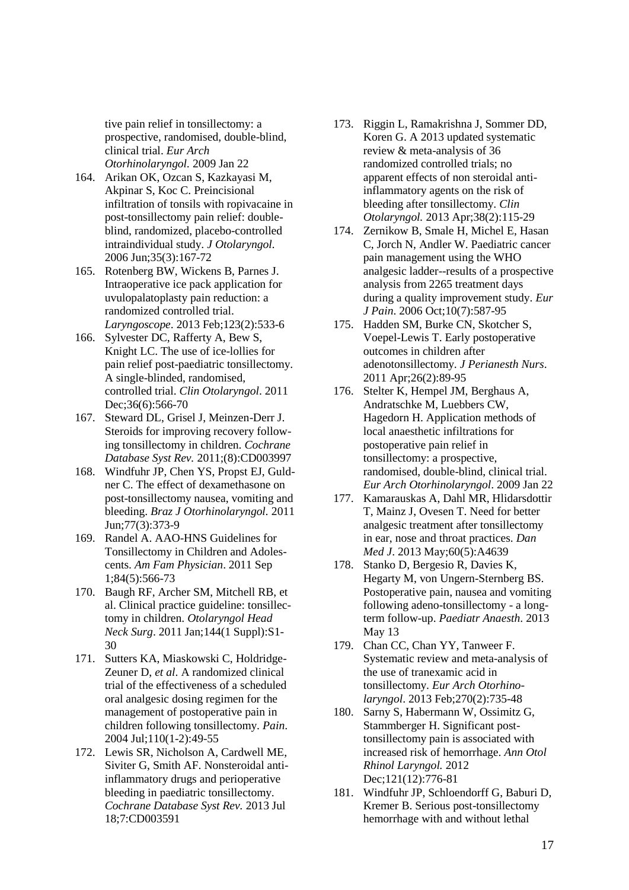tive pain relief in tonsillectomy: a prospective, randomised, double-blind, clinical trial. *Eur Arch Otorhinolaryngol.* 2009 Jan 22

- 164. Arikan OK, Ozcan S, Kazkayasi M, Akpinar S, Koc C. Preincisional infiltration of tonsils with ropivacaine in post-tonsillectomy pain relief: doubleblind, randomized, placebo-controlled intraindividual study. *J Otolaryngol.* 2006 Jun;35(3):167-72
- 165. Rotenberg BW, Wickens B, Parnes J. Intraoperative ice pack application for uvulopalatoplasty pain reduction: a randomized controlled trial. *Laryngoscope*. 2013 Feb;123(2):533-6
- 166. Sylvester DC, Rafferty A, Bew S, Knight LC. The use of ice-lollies for pain relief post-paediatric tonsillectomy. A single-blinded, randomised, controlled trial. *Clin Otolaryngol*. 2011 Dec;36(6):566-70
- 167. Steward DL, Grisel J, Meinzen-Derr J. Steroids for improving recovery following tonsillectomy in children. *Cochrane Database Syst Rev.* 2011;(8):CD003997
- 168. Windfuhr JP, Chen YS, Propst EJ, Guldner C. The effect of dexamethasone on post-tonsillectomy nausea, vomiting and bleeding. *Braz J Otorhinolaryngol.* 2011 Jun;77(3):373-9
- 169. Randel A. AAO-HNS Guidelines for Tonsillectomy in Children and Adolescents. *Am Fam Physician*. 2011 Sep 1;84(5):566-73
- 170. Baugh RF, Archer SM, Mitchell RB, et al. Clinical practice guideline: tonsillectomy in children. *Otolaryngol Head Neck Surg*. 2011 Jan;144(1 Suppl):S1- 30
- 171. Sutters KA, Miaskowski C, Holdridge-Zeuner D, *et al*. A randomized clinical trial of the effectiveness of a scheduled oral analgesic dosing regimen for the management of postoperative pain in children following tonsillectomy. *Pain*. 2004 Jul;110(1-2):49-55
- 172. Lewis SR, Nicholson A, Cardwell ME, Siviter G, Smith AF. Nonsteroidal antiinflammatory drugs and perioperative bleeding in paediatric tonsillectomy. *Cochrane Database Syst Rev.* 2013 Jul 18;7:CD003591
- 173. Riggin L, Ramakrishna J, Sommer DD, Koren G. A 2013 updated systematic review & meta-analysis of 36 randomized controlled trials; no apparent effects of non steroidal antiinflammatory agents on the risk of bleeding after tonsillectomy. *Clin Otolaryngol.* 2013 Apr;38(2):115-29
- 174. Zernikow B, Smale H, Michel E, Hasan C, Jorch N, Andler W. Paediatric cancer pain management using the WHO analgesic ladder--results of a prospective analysis from 2265 treatment days during a quality improvement study. *Eur J Pain*. 2006 Oct;10(7):587-95
- 175. Hadden SM, Burke CN, Skotcher S, Voepel-Lewis T. Early postoperative outcomes in children after adenotonsillectomy. *J Perianesth Nurs*. 2011 Apr;26(2):89-95
- 176. Stelter K, Hempel JM, Berghaus A, Andratschke M, Luebbers CW, Hagedorn H. Application methods of local anaesthetic infiltrations for postoperative pain relief in tonsillectomy: a prospective, randomised, double-blind, clinical trial. *Eur Arch Otorhinolaryngol*. 2009 Jan 22
- 177. Kamarauskas A, Dahl MR, Hlidarsdottir T, Mainz J, Ovesen T. Need for better analgesic treatment after tonsillectomy in ear, nose and throat practices. *Dan Med J*. 2013 May;60(5):A4639
- 178. Stanko D, Bergesio R, Davies K, Hegarty M, von Ungern-Sternberg BS. Postoperative pain, nausea and vomiting following adeno-tonsillectomy - a longterm follow-up. *Paediatr Anaesth*. 2013 May 13
- 179. Chan CC, Chan YY, Tanweer F. Systematic review and meta-analysis of the use of tranexamic acid in tonsillectomy. *Eur Arch Otorhinolaryngol*. 2013 Feb;270(2):735-48
- 180. Sarny S, Habermann W, Ossimitz G, Stammberger H. Significant posttonsillectomy pain is associated with increased risk of hemorrhage. *Ann Otol Rhinol Laryngol.* 2012 Dec;121(12):776-81
- 181. Windfuhr JP, Schloendorff G, Baburi D, Kremer B. Serious post-tonsillectomy hemorrhage with and without lethal